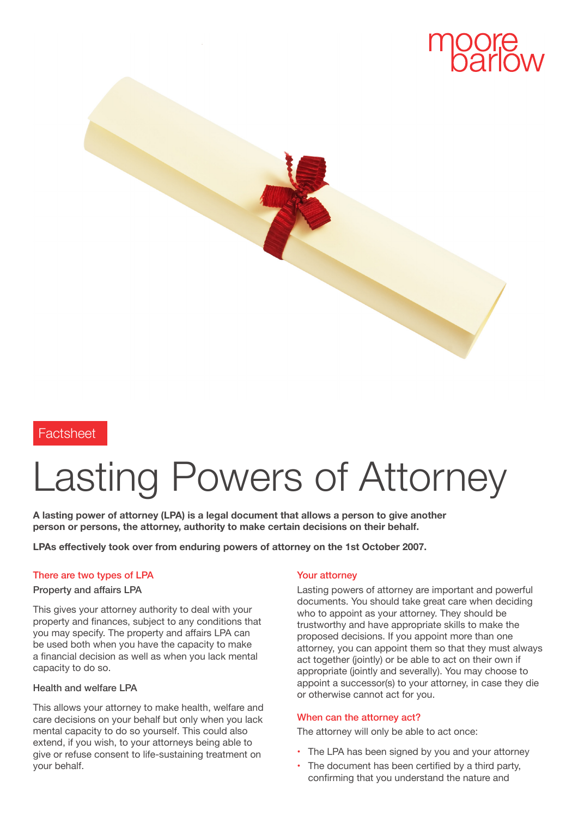

### **Factsheet**

# Lasting Powers of Attorney

**A lasting power of attorney (LPA) is a legal document that allows a person to give another person or persons, the attorney, authority to make certain decisions on their behalf.**

**LPAs effectively took over from enduring powers of attorney on the 1st October 2007.**

#### There are two types of LPA

#### Property and affairs LPA

This gives your attorney authority to deal with your property and finances, subject to any conditions that you may specify. The property and affairs LPA can be used both when you have the capacity to make a financial decision as well as when you lack mental capacity to do so.

#### Health and welfare LPA

This allows your attorney to make health, welfare and care decisions on your behalf but only when you lack mental capacity to do so yourself. This could also extend, if you wish, to your attorneys being able to give or refuse consent to life-sustaining treatment on your behalf.

#### Your attorney

Lasting powers of attorney are important and powerful documents. You should take great care when deciding who to appoint as your attorney. They should be trustworthy and have appropriate skills to make the proposed decisions. If you appoint more than one attorney, you can appoint them so that they must always act together (jointly) or be able to act on their own if appropriate (jointly and severally). You may choose to appoint a successor(s) to your attorney, in case they die or otherwise cannot act for you.

#### When can the attorney act?

The attorney will only be able to act once:

- **•** The LPA has been signed by you and your attorney
- **•** The document has been certified by a third party, confirming that you understand the nature and